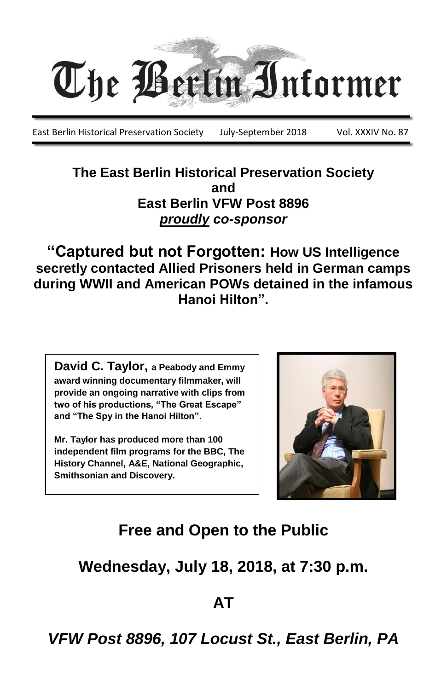

East Berlin Historical Preservation Society July-September 2018 Vol. XXXIV No. 87

**The East Berlin Historical Preservation Society and East Berlin VFW Post 8896** *proudly co-sponsor*

**"Captured but not Forgotten: How US Intelligence secretly contacted Allied Prisoners held in German camps during WWII and American POWs detained in the infamous Hanoi Hilton".**

**David C. Taylor, a Peabody and Emmy award winning documentary filmmaker, will provide an ongoing narrative with clips from two of his productions, "The Great Escape" and "The Spy in the Hanoi Hilton".**

**Mr. Taylor has produced more than 100 independent film programs for the BBC, The History Channel, A&E, National Geographic, Smithsonian and Discovery.**



## **Free and Open to the Public**

**Wednesday, July 18, 2018, at 7:30 p.m.**

**AT**

*VFW Post 8896, 107 Locust St., East Berlin, PA*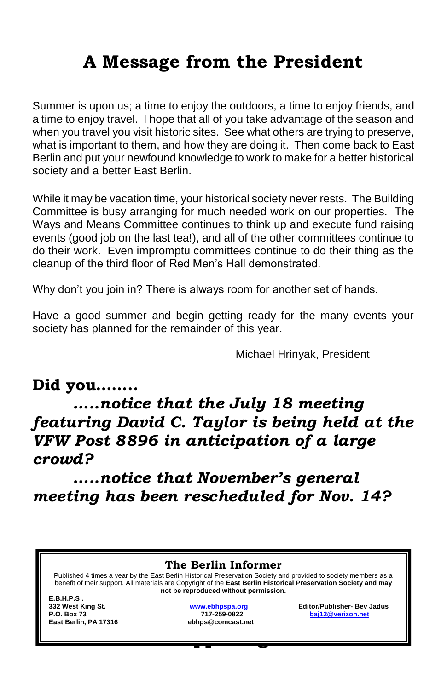# **A Message from the President**

Summer is upon us; a time to enjoy the outdoors, a time to enjoy friends, and a time to enjoy travel. I hope that all of you take advantage of the season and when you travel you visit historic sites. See what others are trying to preserve, what is important to them, and how they are doing it. Then come back to East Berlin and put your newfound knowledge to work to make for a better historical society and a better East Berlin.

While it may be vacation time, your historical society never rests. The Building Committee is busy arranging for much needed work on our properties. The Ways and Means Committee continues to think up and execute fund raising events (good job on the last tea!), and all of the other committees continue to do their work. Even impromptu committees continue to do their thing as the cleanup of the third floor of Red Men's Hall demonstrated.

Why don't you join in? There is always room for another set of hands.

Have a good summer and begin getting ready for the many events your society has planned for the remainder of this year.

Michael Hrinyak, President

#### **Did you……..**

*…..notice that the July 18 meeting featuring David C. Taylor is being held at the VFW Post 8896 in anticipation of a large crowd?* 

*…..notice that November's general meeting has been rescheduled for Nov. 14?*

**Happenings The Berlin Informer** Published 4 times a year by the East Berlin Historical Preservation Society and provided to society members as a benefit of their support. All materials are Copyright of the **East Berlin Historical Preservation Society and may not be reproduced without permission. E.B.H.P.S . 332 West King St. [www.ebhpspa.org](http://www.ebhpspa.org/) Editor/Publisher- Bev Jadus P.O. Box 73 717-259-0822 [baj12@verizon.net](mailto:baj12@verizon.net) East Berlin, PA 17316 ebhps@comcast.net**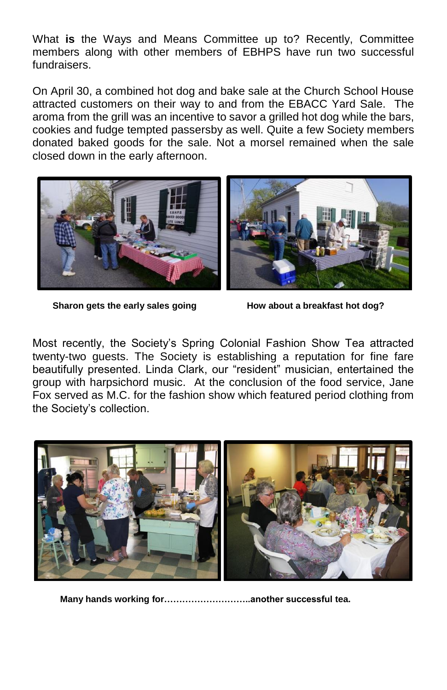What **is** the Ways and Means Committee up to? Recently, Committee members along with other members of EBHPS have run two successful fundraisers.

On April 30, a combined hot dog and bake sale at the Church School House attracted customers on their way to and from the EBACC Yard Sale. The aroma from the grill was an incentive to savor a grilled hot dog while the bars, cookies and fudge tempted passersby as well. Quite a few Society members donated baked goods for the sale. Not a morsel remained when the sale closed down in the early afternoon.



Sharon gets the early sales going **How about a breakfast hot dog?** 

Most recently, the Society's Spring Colonial Fashion Show Tea attracted twenty-two guests. The Society is establishing a reputation for fine fare beautifully presented. Linda Clark, our "resident" musician, entertained the group with harpsichord music. At the conclusion of the food service, Jane Fox served as M.C. for the fashion show which featured period clothing from the Society's collection.



**Many hands working for………………………..another successful tea.**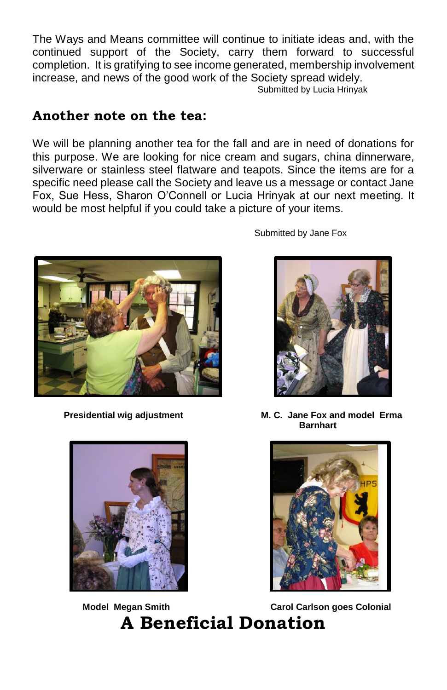The Ways and Means committee will continue to initiate ideas and, with the continued support of the Society, carry them forward to successful completion. It is gratifying to see income generated, membership involvement increase, and news of the good work of the Society spread widely.

Submitted by Lucia Hrinyak

#### **Another note on the tea:**

We will be planning another tea for the fall and are in need of donations for this purpose. We are looking for nice cream and sugars, china dinnerware, silverware or stainless steel flatware and teapots. Since the items are for a specific need please call the Society and leave us a message or contact Jane Fox, Sue Hess, Sharon O'Connell or Lucia Hrinyak at our next meeting. It would be most helpful if you could take a picture of your items.





**Model Megan Smith Carol Carol Carlson goes Colonial A Beneficial Donation**

Submitted by Jane Fox



 **Presidential wig adjustment M. C. Jane Fox and model Erma Barnhart** 

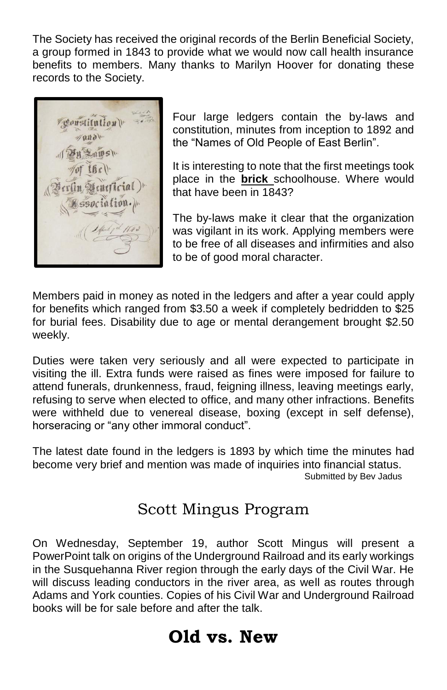The Society has received the original records of the Berlin Beneficial Society, a group formed in 1843 to provide what we would now call health insurance benefits to members. Many thanks to Marilyn Hoover for donating these records to the Society.



Four large ledgers contain the by-laws and constitution, minutes from inception to 1892 and the "Names of Old People of East Berlin".

It is interesting to note that the first meetings took place in the **brick** schoolhouse. Where would that have been in 1843?

The by-laws make it clear that the organization was vigilant in its work. Applying members were to be free of all diseases and infirmities and also to be of good moral character.

Members paid in money as noted in the ledgers and after a year could apply for benefits which ranged from \$3.50 a week if completely bedridden to \$25 for burial fees. Disability due to age or mental derangement brought \$2.50 weekly.

Duties were taken very seriously and all were expected to participate in visiting the ill. Extra funds were raised as fines were imposed for failure to attend funerals, drunkenness, fraud, feigning illness, leaving meetings early, refusing to serve when elected to office, and many other infractions. Benefits were withheld due to venereal disease, boxing (except in self defense), horseracing or "any other immoral conduct".

The latest date found in the ledgers is 1893 by which time the minutes had become very brief and mention was made of inquiries into financial status. Submitted by Bev Jadus

#### Scott Mingus Program

On Wednesday, September 19, author Scott Mingus will present a PowerPoint talk on origins of the Underground Railroad and its early workings in the Susquehanna River region through the early days of the Civil War. He will discuss leading conductors in the river area, as well as routes through Adams and York counties. Copies of his Civil War and Underground Railroad books will be for sale before and after the talk.

### **Old vs. New**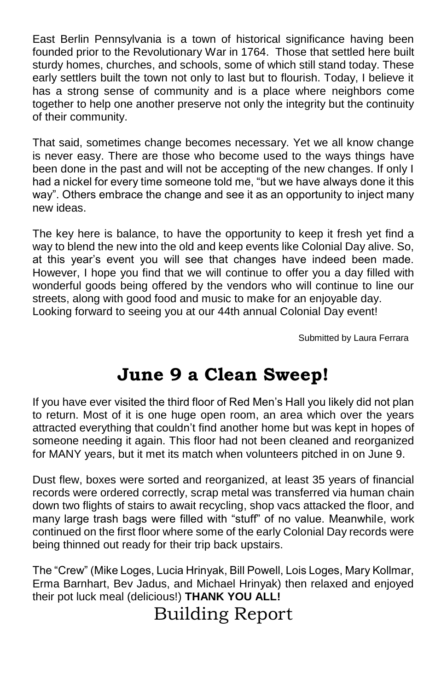East Berlin Pennsylvania is a town of historical significance having been founded prior to the Revolutionary War in 1764. Those that settled here built sturdy homes, churches, and schools, some of which still stand today. These early settlers built the town not only to last but to flourish. Today, I believe it has a strong sense of community and is a place where neighbors come together to help one another preserve not only the integrity but the continuity of their community.

That said, sometimes change becomes necessary. Yet we all know change is never easy. There are those who become used to the ways things have been done in the past and will not be accepting of the new changes. If only I had a nickel for every time someone told me, "but we have always done it this way". Others embrace the change and see it as an opportunity to inject many new ideas.

The key here is balance, to have the opportunity to keep it fresh yet find a way to blend the new into the old and keep events like Colonial Day alive. So, at this year's event you will see that changes have indeed been made. However, I hope you find that we will continue to offer you a day filled with wonderful goods being offered by the vendors who will continue to line our streets, along with good food and music to make for an enjoyable day. Looking forward to seeing you at our 44th annual Colonial Day event!

Submitted by Laura Ferrara

### **June 9 a Clean Sweep!**

If you have ever visited the third floor of Red Men's Hall you likely did not plan to return. Most of it is one huge open room, an area which over the years attracted everything that couldn't find another home but was kept in hopes of someone needing it again. This floor had not been cleaned and reorganized for MANY years, but it met its match when volunteers pitched in on June 9.

Dust flew, boxes were sorted and reorganized, at least 35 years of financial records were ordered correctly, scrap metal was transferred via human chain down two flights of stairs to await recycling, shop vacs attacked the floor, and many large trash bags were filled with "stuff" of no value. Meanwhile, work continued on the first floor where some of the early Colonial Day records were being thinned out ready for their trip back upstairs.

The "Crew" (Mike Loges, Lucia Hrinyak, Bill Powell, Lois Loges, Mary Kollmar, Erma Barnhart, Bev Jadus, and Michael Hrinyak) then relaxed and enjoyed their pot luck meal (delicious!) **THANK YOU ALL!**

## Building Report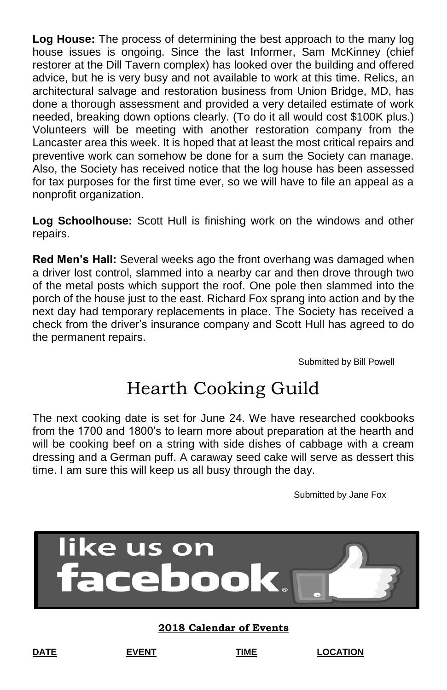**Log House:** The process of determining the best approach to the many log house issues is ongoing. Since the last Informer, Sam McKinney (chief restorer at the Dill Tavern complex) has looked over the building and offered advice, but he is very busy and not available to work at this time. Relics, an architectural salvage and restoration business from Union Bridge, MD, has done a thorough assessment and provided a very detailed estimate of work needed, breaking down options clearly. (To do it all would cost \$100K plus.) Volunteers will be meeting with another restoration company from the Lancaster area this week. It is hoped that at least the most critical repairs and preventive work can somehow be done for a sum the Society can manage. Also, the Society has received notice that the log house has been assessed for tax purposes for the first time ever, so we will have to file an appeal as a nonprofit organization.

**Log Schoolhouse:** Scott Hull is finishing work on the windows and other repairs.

**Red Men's Hall:** Several weeks ago the front overhang was damaged when a driver lost control, slammed into a nearby car and then drove through two of the metal posts which support the roof. One pole then slammed into the porch of the house just to the east. Richard Fox sprang into action and by the next day had temporary replacements in place. The Society has received a check from the driver's insurance company and Scott Hull has agreed to do the permanent repairs.

Submitted by Bill Powell

## Hearth Cooking Guild

The next cooking date is set for June 24. We have researched cookbooks from the 1700 and 1800's to learn more about preparation at the hearth and will be cooking beef on a string with side dishes of cabbage with a cream dressing and a German puff. A caraway seed cake will serve as dessert this time. I am sure this will keep us all busy through the day.

Submitted by Jane Fox



**2018 Calendar of Events**

**DATE EVENT TIME LOCATION**